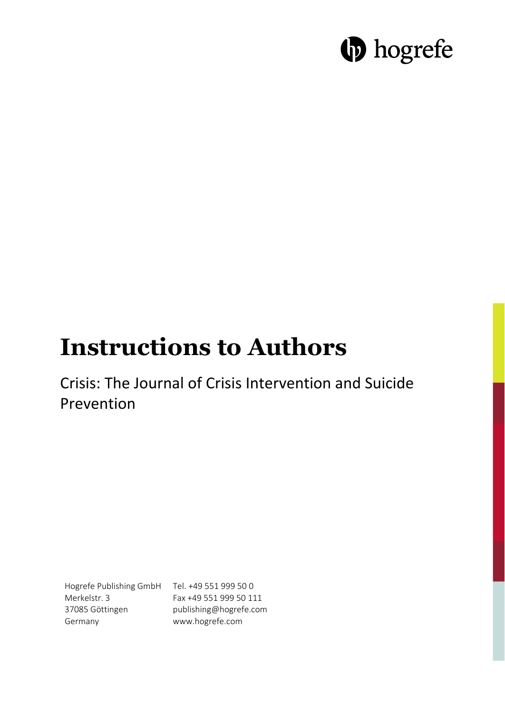# **D** hogrefe

## **Instructions to Authors**

Crisis: The Journal of Crisis Intervention and Suicide Prevention

Hogrefe Publishing GmbH Tel. +49 551 999 50 0 Merkelstr. 3 37085 Göttingen Germany

Fax +49 551 999 50 111 publishing@hogrefe.com www.hogrefe.com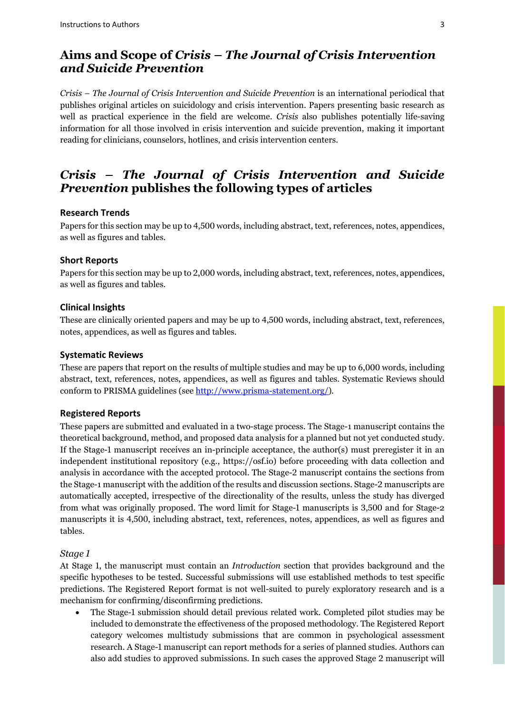## **Aims and Scope of** *Crisis – The Journal of Crisis Intervention and Suicide Prevention*

*Crisis – The Journal of Crisis Intervention and Suicide Prevention* is an international periodical that publishes original articles on suicidology and crisis intervention. Papers presenting basic research as well as practical experience in the field are welcome. *Crisis* also publishes potentially life-saving information for all those involved in crisis intervention and suicide prevention, making it important reading for clinicians, counselors, hotlines, and crisis intervention centers.

## *Crisis – The Journal of Crisis Intervention and Suicide Prevention* **publishes the following types of articles**

#### **Research Trends**

Papers for this section may be up to 4,500 words, including abstract, text, references, notes, appendices, as well as figures and tables.

#### **Short Reports**

Papers for this section may be up to 2,000 words, including abstract, text, references, notes, appendices, as well as figures and tables.

#### **Clinical Insights**

These are clinically oriented papers and may be up to 4,500 words, including abstract, text, references, notes, appendices, as well as figures and tables.

#### **Systematic Reviews**

These are papers that report on the results of multiple studies and may be up to 6,000 words, including abstract, text, references, notes, appendices, as well as figures and tables. Systematic Reviews should conform to PRISMA guidelines (se[e http://www.prisma-statement.org/\)](http://www.prisma-statement.org/).

#### **Registered Reports**

These papers are submitted and evaluated in a two-stage process. The Stage-1 manuscript contains the theoretical background, method, and proposed data analysis for a planned but not yet conducted study. If the Stage-1 manuscript receives an in-principle acceptance, the author(s) must preregister it in an independent institutional repository (e.g., [https://osf.io\)](https://osf.io/) before proceeding with data collection and analysis in accordance with the accepted protocol. The Stage-2 manuscript contains the sections from the Stage-1 manuscript with the addition of the results and discussion sections. Stage-2 manuscripts are automatically accepted, irrespective of the directionality of the results, unless the study has diverged from what was originally proposed. The word limit for Stage-1 manuscripts is 3,500 and for Stage-2 manuscripts it is 4,500, including abstract, text, references, notes, appendices, as well as figures and tables.

#### *Stage 1*

At Stage 1, the manuscript must contain an *Introduction* section that provides background and the specific hypotheses to be tested. Successful submissions will use established methods to test specific predictions. The Registered Report format is not well-suited to purely exploratory research and is a mechanism for confirming/disconfirming predictions.

• The Stage-1 submission should detail previous related work. Completed pilot studies may be included to demonstrate the effectiveness of the proposed methodology. The Registered Report category welcomes multistudy submissions that are common in psychological assessment research. A Stage-1 manuscript can report methods for a series of planned studies. Authors can also add studies to approved submissions. In such cases the approved Stage 2 manuscript will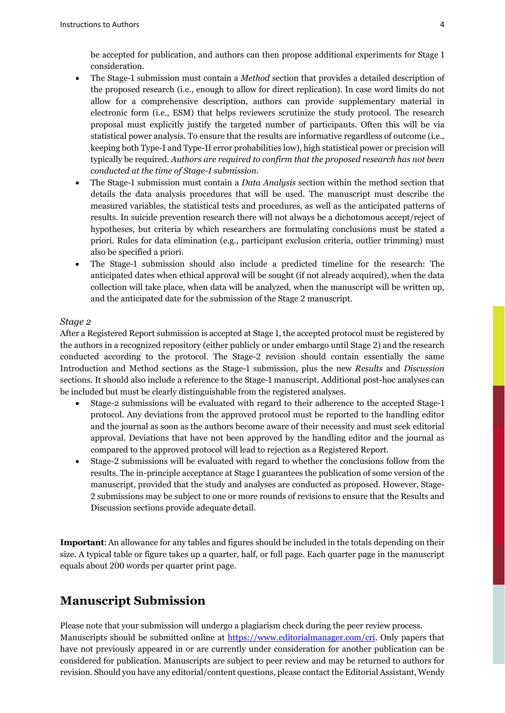be accepted for publication, and authors can then propose additional experiments for Stage 1 consideration.

- The Stage-1 submission must contain a *Method* section that provides a detailed description of the proposed research (i.e., enough to allow for direct replication). In case word limits do not allow for a comprehensive description, authors can provide supplementary material in electronic form (i.e., ESM) that helps reviewers scrutinize the study protocol. The research proposal must explicitly justify the targeted number of participants. Often this will be via statistical power analysis. To ensure that the results are informative regardless of outcome (i.e., keeping both Type-I and Type-II error probabilities low), high statistical power or precision will typically be required. *Authors are required to confirm that the proposed research has not been conducted at the time of Stage-1 submission*.
- The Stage-1 submission must contain a *Data Analysis* section within the method section that details the data analysis procedures that will be used. The manuscript must describe the measured variables, the statistical tests and procedures, as well as the anticipated patterns of results. In suicide prevention research there will not always be a dichotomous accept/reject of hypotheses, but criteria by which researchers are formulating conclusions must be stated a priori. Rules for data elimination (e.g., participant exclusion criteria, outlier trimming) must also be specified a priori.
- The Stage-1 submission should also include a predicted timeline for the research: The anticipated dates when ethical approval will be sought (if not already acquired), when the data collection will take place, when data will be analyzed, when the manuscript will be written up, and the anticipated date for the submission of the Stage 2 manuscript.

#### *Stage 2*

After a Registered Report submission is accepted at Stage 1, the accepted protocol must be registered by the authors in a recognized repository (either publicly or under embargo until Stage 2) and the research conducted according to the protocol. The Stage-2 revision should contain essentially the same Introduction and Method sections as the Stage-1 submission, plus the new *Results* and *Discussion* sections. It should also include a reference to the Stage-1 manuscript. Additional post-hoc analyses can be included but must be clearly distinguishable from the registered analyses.

- Stage-2 submissions will be evaluated with regard to their adherence to the accepted Stage-1 protocol. Any deviations from the approved protocol must be reported to the handling editor and the journal as soon as the authors become aware of their necessity and must seek editorial approval. Deviations that have not been approved by the handling editor and the journal as compared to the approved protocol will lead to rejection as a Registered Report.
- Stage-2 submissions will be evaluated with regard to whether the conclusions follow from the results. The in-principle acceptance at Stage 1 guarantees the publication of some version of the manuscript, provided that the study and analyses are conducted as proposed. However, Stage-2 submissions may be subject to one or more rounds of revisions to ensure that the Results and Discussion sections provide adequate detail.

**Important**: An allowance for any tables and figures should be included in the totals depending on their size. A typical table or figure takes up a quarter, half, or full page. Each quarter page in the manuscript equals about 200 words per quarter print page.

## **Manuscript Submission**

Please note that your submission will undergo a plagiarism check during the peer review process. Manuscripts should be submitted online at [https://www.editorialmanager.com/cri.](https://www.editorialmanager.com/cri) Only papers that have not previously appeared in or are currently under consideration for another publication can be considered for publication. Manuscripts are subject to peer review and may be returned to authors for revision. Should you have any editorial/content questions, please contact the Editorial Assistant, Wendy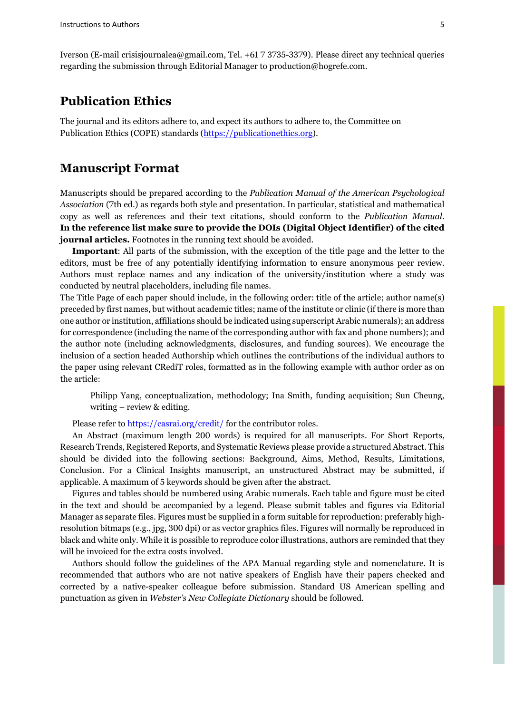Iverson (E-mail crisisjournalea@gmail.com, Tel. +61 7 3735-3379). Please direct any technical queries regarding the submission through Editorial Manager to production@hogrefe.com.

## **Publication Ethics**

The journal and its editors adhere to, and expect its authors to adhere to, the Committee on Publication Ethics (COPE) standards [\(https://publicationethics.org\)](https://publicationethics.org/).

#### **Manuscript Format**

Manuscripts should be prepared according to the *Publication Manual of the American Psychological Association* (7th ed.) as regards both style and presentation. In particular, statistical and mathematical copy as well as references and their text citations, should conform to the *Publication Manual*. **In the reference list make sure to provide the DOIs (Digital Object Identifier) of the cited journal articles.** Footnotes in the running text should be avoided.

**Important**: All parts of the submission, with the exception of the title page and the letter to the editors, must be free of any potentially identifying information to ensure anonymous peer review. Authors must replace names and any indication of the university/institution where a study was conducted by neutral placeholders, including file names.

The Title Page of each paper should include, in the following order: title of the article; author name(s) preceded by first names, but without academic titles; name of the institute or clinic (if there is more than one author or institution, affiliations should be indicated using superscript Arabic numerals); an address for correspondence (including the name of the corresponding author with fax and phone numbers); and the author note (including acknowledgments, disclosures, and funding sources). We encourage the inclusion of a section headed Authorship which outlines the contributions of the individual authors to the paper using relevant CRediT roles, formatted as in the following example with author order as on the article:

Philipp Yang, conceptualization, methodology; Ina Smith, funding acquisition; Sun Cheung, writing – review & editing.

Please refer to<https://casrai.org/credit/> for the contributor roles.

An Abstract (maximum length 200 words) is required for all manuscripts. For Short Reports, Research Trends, Registered Reports, and Systematic Reviews please provide a structured Abstract. This should be divided into the following sections: Background, Aims, Method, Results, Limitations, Conclusion. For a Clinical Insights manuscript, an unstructured Abstract may be submitted, if applicable. A maximum of 5 keywords should be given after the abstract.

Figures and tables should be numbered using Arabic numerals. Each table and figure must be cited in the text and should be accompanied by a legend. Please submit tables and figures via Editorial Manager as separate files. Figures must be supplied in a form suitable for reproduction: preferably highresolution bitmaps (e.g., jpg, 300 dpi) or as vector graphics files. Figures will normally be reproduced in black and white only. While it is possible to reproduce color illustrations, authors are reminded that they will be invoiced for the extra costs involved.

Authors should follow the guidelines of the APA Manual regarding style and nomenclature. It is recommended that authors who are not native speakers of English have their papers checked and corrected by a native-speaker colleague before submission. Standard US American spelling and punctuation as given in *Webster's New Collegiate Dictionary* should be followed.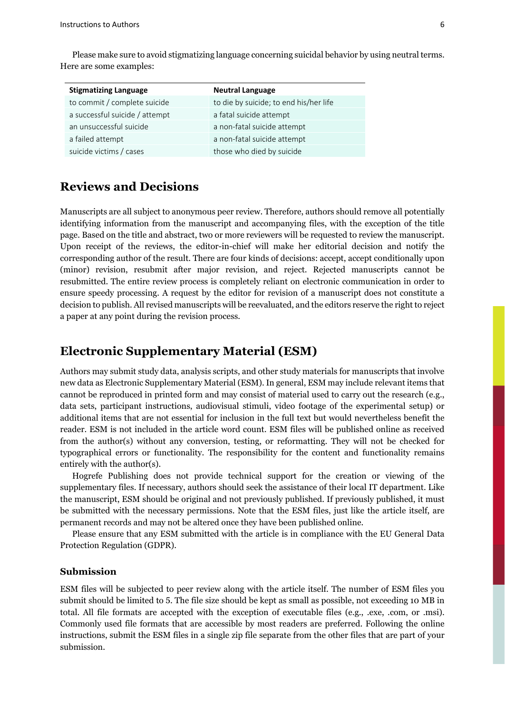Here are some examples:

Please make sure to avoid stigmatizing language concerning suicidal behavior by using neutral terms.

| <b>Stigmatizing Language</b>   | <b>Neutral Language</b>                |
|--------------------------------|----------------------------------------|
| to commit / complete suicide   | to die by suicide; to end his/her life |
| a successful suicide / attempt | a fatal suicide attempt                |
| an unsuccessful suicide        | a non-fatal suicide attempt            |
| a failed attempt               | a non-fatal suicide attempt            |
| suicide victims / cases        | those who died by suicide              |

## **Reviews and Decisions**

Manuscripts are all subject to anonymous peer review. Therefore, authors should remove all potentially identifying information from the manuscript and accompanying files, with the exception of the title page. Based on the title and abstract, two or more reviewers will be requested to review the manuscript. Upon receipt of the reviews, the editor-in-chief will make her editorial decision and notify the corresponding author of the result. There are four kinds of decisions: accept, accept conditionally upon (minor) revision, resubmit after major revision, and reject. Rejected manuscripts cannot be resubmitted. The entire review process is completely reliant on electronic communication in order to ensure speedy processing. A request by the editor for revision of a manuscript does not constitute a decision to publish. All revised manuscripts will be reevaluated, and the editors reserve the right to reject a paper at any point during the revision process.

### **Electronic Supplementary Material (ESM)**

Authors may submit study data, analysis scripts, and other study materials for manuscripts that involve new data as Electronic Supplementary Material (ESM). In general, ESM may include relevant items that cannot be reproduced in printed form and may consist of material used to carry out the research (e.g., data sets, participant instructions, audiovisual stimuli, video footage of the experimental setup) or additional items that are not essential for inclusion in the full text but would nevertheless benefit the reader. ESM is not included in the article word count. ESM files will be published online as received from the author(s) without any conversion, testing, or reformatting. They will not be checked for typographical errors or functionality. The responsibility for the content and functionality remains entirely with the author(s).

Hogrefe Publishing does not provide technical support for the creation or viewing of the supplementary files. If necessary, authors should seek the assistance of their local IT department. Like the manuscript, ESM should be original and not previously published. If previously published, it must be submitted with the necessary permissions. Note that the ESM files, just like the article itself, are permanent records and may not be altered once they have been published online.

Please ensure that any ESM submitted with the article is in compliance with the EU General Data Protection Regulation (GDPR).

#### **Submission**

ESM files will be subjected to peer review along with the article itself. The number of ESM files you submit should be limited to 5. The file size should be kept as small as possible, not exceeding 10 MB in total. All file formats are accepted with the exception of executable files (e.g., .exe, .com, or .msi). Commonly used file formats that are accessible by most readers are preferred. Following the online instructions, submit the ESM files in a single zip file separate from the other files that are part of your submission.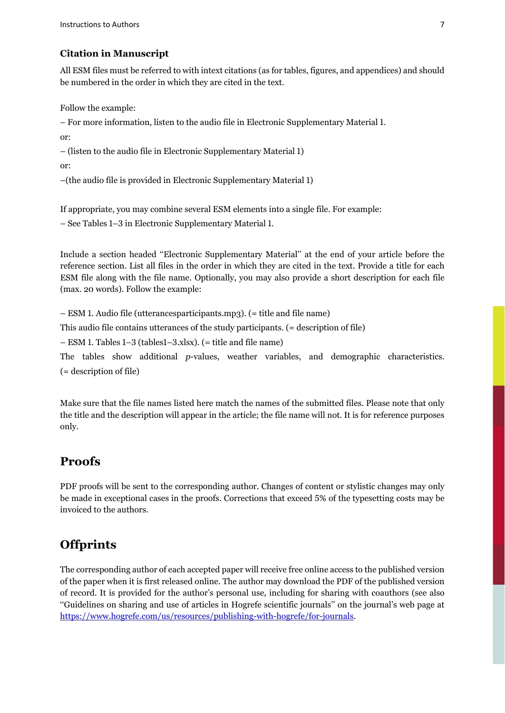#### **Citation in Manuscript**

All ESM files must be referred to with intext citations (as for tables, figures, and appendices) and should be numbered in the order in which they are cited in the text.

Follow the example:

– For more information, listen to the audio file in Electronic Supplementary Material 1.

or:

– (listen to the audio file in Electronic Supplementary Material 1)

or:

–(the audio file is provided in Electronic Supplementary Material 1)

If appropriate, you may combine several ESM elements into a single file. For example:

– See Tables 1–3 in Electronic Supplementary Material 1.

Include a section headed ''Electronic Supplementary Material'' at the end of your article before the reference section. List all files in the order in which they are cited in the text. Provide a title for each ESM file along with the file name. Optionally, you may also provide a short description for each file (max. 20 words). Follow the example:

– ESM 1. Audio file (utterancesparticipants.mp3). (= title and file name)

This audio file contains utterances of the study participants. (= description of file)

– ESM 1. Tables 1–3 (tables1–3.xlsx). (= title and file name)

The tables show additional *p*-values, weather variables, and demographic characteristics. (= description of file)

Make sure that the file names listed here match the names of the submitted files. Please note that only the title and the description will appear in the article; the file name will not. It is for reference purposes only.

## **Proofs**

PDF proofs will be sent to the corresponding author. Changes of content or stylistic changes may only be made in exceptional cases in the proofs. Corrections that exceed 5% of the typesetting costs may be invoiced to the authors.

## **Offprints**

The corresponding author of each accepted paper will receive free online access to the published version of the paper when it is first released online. The author may download the PDF of the published version of record. It is provided for the author's personal use, including for sharing with coauthors (see also ''Guidelines on sharing and use of articles in Hogrefe scientific journals'' on the journal's web page at [https://www.hogrefe.com/us/resources/publishing-with-hogrefe/for-journals.](https://www.hogrefe.com/us/resources/publishing-with-hogrefe/for-journals)